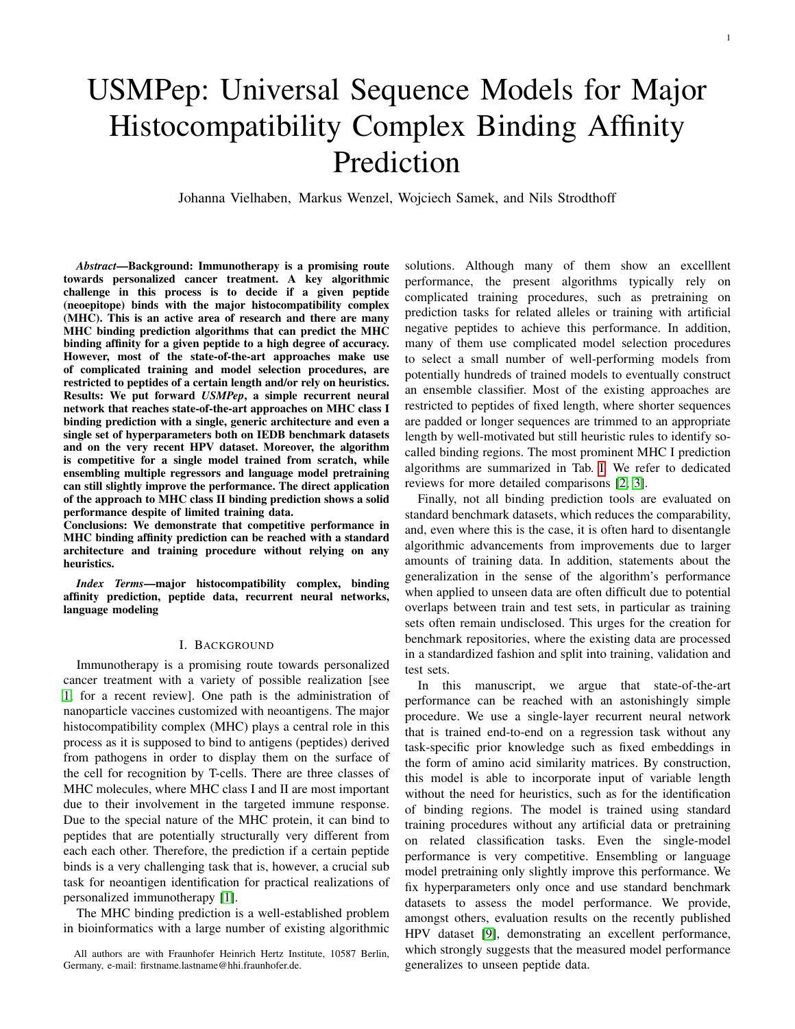# USMPep: Universal Sequence Models for Major Histocompatibility Complex Binding Affinity Prediction

Johanna Vielhaben, Markus Wenzel, Wojciech Samek, and Nils Strodthoff

*Abstract*—Background: Immunotherapy is a promising route towards personalized cancer treatment. A key algorithmic challenge in this process is to decide if a given peptide (neoepitope) binds with the major histocompatibility complex (MHC). This is an active area of research and there are many MHC binding prediction algorithms that can predict the MHC binding affinity for a given peptide to a high degree of accuracy. However, most of the state-of-the-art approaches make use of complicated training and model selection procedures, are restricted to peptides of a certain length and/or rely on heuristics. Results: We put forward *USMPep*, a simple recurrent neural network that reaches state-of-the-art approaches on MHC class I binding prediction with a single, generic architecture and even a single set of hyperparameters both on IEDB benchmark datasets and on the very recent HPV dataset. Moreover, the algorithm is competitive for a single model trained from scratch, while ensembling multiple regressors and language model pretraining can still slightly improve the performance. The direct application of the approach to MHC class II binding prediction shows a solid performance despite of limited training data.

Conclusions: We demonstrate that competitive performance in MHC binding affinity prediction can be reached with a standard architecture and training procedure without relying on any heuristics.

*Index Terms*—major histocompatibility complex, binding affinity prediction, peptide data, recurrent neural networks, language modeling

## I. BACKGROUND

Immunotherapy is a promising route towards personalized cancer treatment with a variety of possible realization [see [1,](#page-7-0) for a recent review]. One path is the administration of nanoparticle vaccines customized with neoantigens. The major histocompatibility complex (MHC) plays a central role in this process as it is supposed to bind to antigens (peptides) derived from pathogens in order to display them on the surface of the cell for recognition by T-cells. There are three classes of MHC molecules, where MHC class I and II are most important due to their involvement in the targeted immune response. Due to the special nature of the MHC protein, it can bind to peptides that are potentially structurally very different from each each other. Therefore, the prediction if a certain peptide binds is a very challenging task that is, however, a crucial sub task for neoantigen identification for practical realizations of personalized immunotherapy [\[1\]](#page-7-0).

The MHC binding prediction is a well-established problem in bioinformatics with a large number of existing algorithmic solutions. Although many of them show an excelllent performance, the present algorithms typically rely on complicated training procedures, such as pretraining on prediction tasks for related alleles or training with artificial negative peptides to achieve this performance. In addition, many of them use complicated model selection procedures to select a small number of well-performing models from potentially hundreds of trained models to eventually construct an ensemble classifier. Most of the existing approaches are restricted to peptides of fixed length, where shorter sequences are padded or longer sequences are trimmed to an appropriate length by well-motivated but still heuristic rules to identify socalled binding regions. The most prominent MHC I prediction algorithms are summarized in Tab. [I.](#page-1-0) We refer to dedicated reviews for more detailed comparisons [\[2;](#page-7-1) [3\]](#page-7-2).

Finally, not all binding prediction tools are evaluated on standard benchmark datasets, which reduces the comparability, and, even where this is the case, it is often hard to disentangle algorithmic advancements from improvements due to larger amounts of training data. In addition, statements about the generalization in the sense of the algorithm's performance when applied to unseen data are often difficult due to potential overlaps between train and test sets, in particular as training sets often remain undisclosed. This urges for the creation for benchmark repositories, where the existing data are processed in a standardized fashion and split into training, validation and test sets.

In this manuscript, we argue that state-of-the-art performance can be reached with an astonishingly simple procedure. We use a single-layer recurrent neural network that is trained end-to-end on a regression task without any task-specific prior knowledge such as fixed embeddings in the form of amino acid similarity matrices. By construction, this model is able to incorporate input of variable length without the need for heuristics, such as for the identification of binding regions. The model is trained using standard training procedures without any artificial data or pretraining on related classification tasks. Even the single-model performance is very competitive. Ensembling or language model pretraining only slightly improve this performance. We fix hyperparameters only once and use standard benchmark datasets to assess the model performance. We provide, amongst others, evaluation results on the recently published HPV dataset [\[9\]](#page-7-3), demonstrating an excellent performance, which strongly suggests that the measured model performance generalizes to unseen peptide data.

All authors are with Fraunhofer Heinrich Hertz Institute, 10587 Berlin, Germany, e-mail: firstname.lastname@hhi.fraunhofer.de.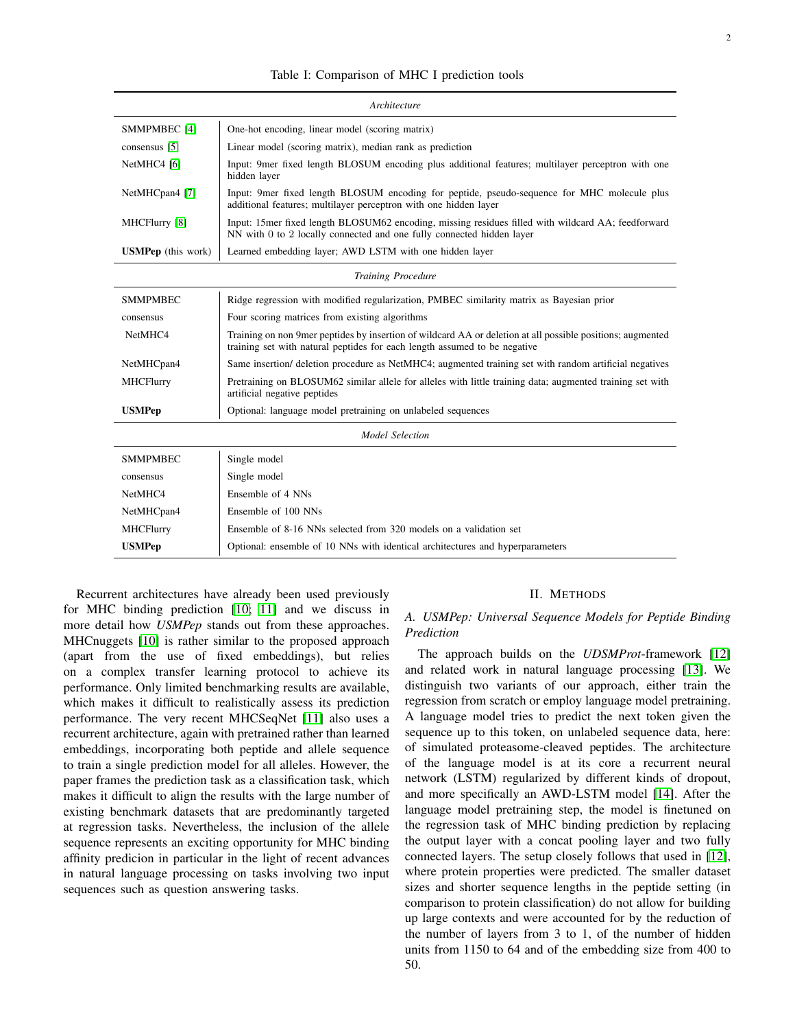<span id="page-1-0"></span>

| Architecture              |                                                                                                                                                                                          |  |  |  |  |  |  |
|---------------------------|------------------------------------------------------------------------------------------------------------------------------------------------------------------------------------------|--|--|--|--|--|--|
| SMMPMBEC [4]              | One-hot encoding, linear model (scoring matrix)                                                                                                                                          |  |  |  |  |  |  |
| consensus [5]             | Linear model (scoring matrix), median rank as prediction                                                                                                                                 |  |  |  |  |  |  |
| NetMHC4 [6]               | Input: 9mer fixed length BLOSUM encoding plus additional features; multilayer perceptron with one<br>hidden layer                                                                        |  |  |  |  |  |  |
| NetMHCpan4 [7]            | Input: 9mer fixed length BLOSUM encoding for peptide, pseudo-sequence for MHC molecule plus<br>additional features; multilayer perceptron with one hidden layer                          |  |  |  |  |  |  |
| MHCFlurry [8]             | Input: 15mer fixed length BLOSUM62 encoding, missing residues filled with wildcard AA; feedforward<br>NN with 0 to 2 locally connected and one fully connected hidden layer              |  |  |  |  |  |  |
| <b>USMPep</b> (this work) | Learned embedding layer; AWD LSTM with one hidden layer                                                                                                                                  |  |  |  |  |  |  |
|                           | <b>Training Procedure</b>                                                                                                                                                                |  |  |  |  |  |  |
| <b>SMMPMBEC</b>           | Ridge regression with modified regularization, PMBEC similarity matrix as Bayesian prior                                                                                                 |  |  |  |  |  |  |
| consensus                 | Four scoring matrices from existing algorithms                                                                                                                                           |  |  |  |  |  |  |
| NetMHC4                   | Training on non 9 mer peptides by insertion of wildcard AA or deletion at all possible positions; augmented<br>training set with natural peptides for each length assumed to be negative |  |  |  |  |  |  |
| NetMHCpan4                | Same insertion/ deletion procedure as NetMHC4; augmented training set with random artificial negatives                                                                                   |  |  |  |  |  |  |
| <b>MHCFlurry</b>          | Pretraining on BLOSUM62 similar allele for alleles with little training data; augmented training set with<br>artificial negative peptides                                                |  |  |  |  |  |  |
| <b>USMPep</b>             | Optional: language model pretraining on unlabeled sequences                                                                                                                              |  |  |  |  |  |  |
| <b>Model Selection</b>    |                                                                                                                                                                                          |  |  |  |  |  |  |
| <b>SMMPMBEC</b>           | Single model                                                                                                                                                                             |  |  |  |  |  |  |
| consensus                 | Single model                                                                                                                                                                             |  |  |  |  |  |  |
| NetMHC4                   | Ensemble of 4 NNs                                                                                                                                                                        |  |  |  |  |  |  |
| NetMHCpan4                | Ensemble of 100 NNs                                                                                                                                                                      |  |  |  |  |  |  |
| <b>MHCFlurry</b>          | Ensemble of 8-16 NNs selected from 320 models on a validation set                                                                                                                        |  |  |  |  |  |  |
| <b>USMPep</b>             | Optional: ensemble of 10 NNs with identical architectures and hyperparameters                                                                                                            |  |  |  |  |  |  |

Recurrent architectures have already been used previously for MHC binding prediction [\[10;](#page-7-9) [11\]](#page-7-10) and we discuss in more detail how *USMPep* stands out from these approaches. MHCnuggets [\[10\]](#page-7-9) is rather similar to the proposed approach (apart from the use of fixed embeddings), but relies on a complex transfer learning protocol to achieve its performance. Only limited benchmarking results are available, which makes it difficult to realistically assess its prediction performance. The very recent MHCSeqNet [\[11\]](#page-7-10) also uses a recurrent architecture, again with pretrained rather than learned embeddings, incorporating both peptide and allele sequence to train a single prediction model for all alleles. However, the paper frames the prediction task as a classification task, which makes it difficult to align the results with the large number of existing benchmark datasets that are predominantly targeted at regression tasks. Nevertheless, the inclusion of the allele sequence represents an exciting opportunity for MHC binding affinity predicion in particular in the light of recent advances in natural language processing on tasks involving two input sequences such as question answering tasks.

## II. METHODS

# *A. USMPep: Universal Sequence Models for Peptide Binding Prediction*

The approach builds on the *UDSMProt*-framework [\[12\]](#page-7-11) and related work in natural language processing [\[13\]](#page-7-12). We distinguish two variants of our approach, either train the regression from scratch or employ language model pretraining. A language model tries to predict the next token given the sequence up to this token, on unlabeled sequence data, here: of simulated proteasome-cleaved peptides. The architecture of the language model is at its core a recurrent neural network (LSTM) regularized by different kinds of dropout, and more specifically an AWD-LSTM model [\[14\]](#page-7-13). After the language model pretraining step, the model is finetuned on the regression task of MHC binding prediction by replacing the output layer with a concat pooling layer and two fully connected layers. The setup closely follows that used in [\[12\]](#page-7-11), where protein properties were predicted. The smaller dataset sizes and shorter sequence lengths in the peptide setting (in comparison to protein classification) do not allow for building up large contexts and were accounted for by the reduction of the number of layers from 3 to 1, of the number of hidden units from 1150 to 64 and of the embedding size from 400 to 50.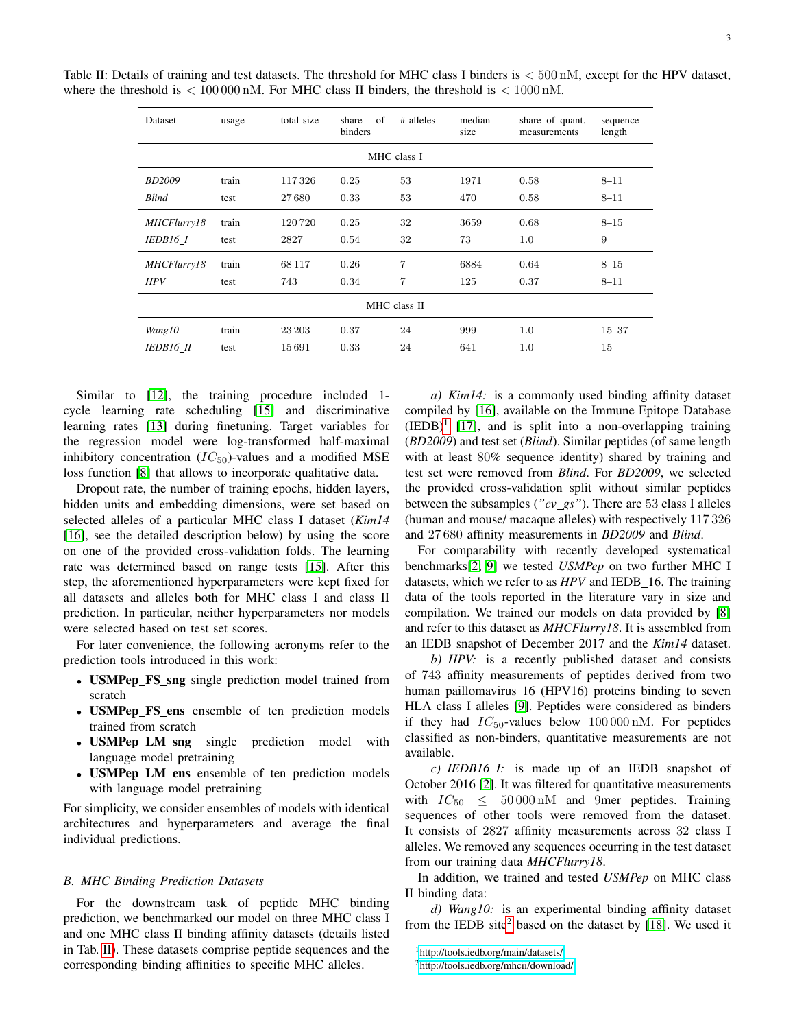| Dataset       | usage | total size | of<br>share<br>binders | # alleles | median<br>size | share of quant.<br>measurements | sequence<br>length |
|---------------|-------|------------|------------------------|-----------|----------------|---------------------------------|--------------------|
| MHC class I   |       |            |                        |           |                |                                 |                    |
| <b>BD2009</b> | train | 117326     | 0.25                   | 53        | 1971           | 0.58                            | $8 - 11$           |
| <b>Blind</b>  | test  | 27680      | 0.33                   | 53        | 470            | 0.58                            | $8 - 11$           |
| MHCFlurry18   | train | 120720     | 0.25                   | 32        | 3659           | 0.68                            | $8 - 15$           |
| IEDB16 1      | test  | 2827       | 0.54                   | 32        | 73             | $1.0\,$                         | 9                  |
| MHCFlurry18   | train | 68117      | 0.26                   | 7         | 6884           | 0.64                            | $8 - 15$           |
| <b>HPV</b>    | test  | 743        | 0.34                   | 7         | 125            | 0.37                            | $8 - 11$           |
| MHC class II  |       |            |                        |           |                |                                 |                    |
| Wang10        | train | 23 203     | 0.37                   | 24        | 999            | 1.0                             | $15 - 37$          |
| IEDB16 II     | test  | 15691      | 0.33                   | 24        | 641            | $1.0\,$                         | 15                 |

<span id="page-2-0"></span>Table II: Details of training and test datasets. The threshold for MHC class I binders is < 500 nM, except for the HPV dataset, where the threshold is  $< 100000 \text{ nM}$ . For MHC class II binders, the threshold is  $< 1000 \text{ nM}$ .

Similar to [\[12\]](#page-7-11), the training procedure included 1 cycle learning rate scheduling [\[15\]](#page-7-14) and discriminative learning rates [\[13\]](#page-7-12) during finetuning. Target variables for the regression model were log-transformed half-maximal inhibitory concentration  $(IC_{50})$ -values and a modified MSE loss function [\[8\]](#page-7-8) that allows to incorporate qualitative data.

Dropout rate, the number of training epochs, hidden layers, hidden units and embedding dimensions, were set based on selected alleles of a particular MHC class I dataset (*Kim14* [\[16\]](#page-7-15), see the detailed description below) by using the score on one of the provided cross-validation folds. The learning rate was determined based on range tests [\[15\]](#page-7-14). After this step, the aforementioned hyperparameters were kept fixed for all datasets and alleles both for MHC class I and class II prediction. In particular, neither hyperparameters nor models were selected based on test set scores.

For later convenience, the following acronyms refer to the prediction tools introduced in this work:

- USMPep\_FS\_sng single prediction model trained from scratch
- USMPep\_FS\_ens ensemble of ten prediction models trained from scratch
- USMPep\_LM\_sng single prediction model with language model pretraining
- USMPep LM ens ensemble of ten prediction models with language model pretraining

For simplicity, we consider ensembles of models with identical architectures and hyperparameters and average the final individual predictions.

#### *B. MHC Binding Prediction Datasets*

For the downstream task of peptide MHC binding prediction, we benchmarked our model on three MHC class I and one MHC class II binding affinity datasets (details listed in Tab. [II\)](#page-2-0). These datasets comprise peptide sequences and the corresponding binding affinities to specific MHC alleles.

*a) Kim14:* is a commonly used binding affinity dataset compiled by [\[16\]](#page-7-15), available on the Immune Epitope Database  $(IEDB)<sup>1</sup>$  $(IEDB)<sup>1</sup>$  $(IEDB)<sup>1</sup>$  [\[17\]](#page-7-16), and is split into a non-overlapping training (*BD2009*) and test set (*Blind*). Similar peptides (of same length with at least 80% sequence identity) shared by training and test set were removed from *Blind*. For *BD2009*, we selected the provided cross-validation split without similar peptides between the subsamples (*"cv gs"*). There are 53 class I alleles (human and mouse/ macaque alleles) with respectively 117 326 and 27 680 affinity measurements in *BD2009* and *Blind*.

For comparability with recently developed systematical benchmarks[\[2;](#page-7-1) [9\]](#page-7-3) we tested *USMPep* on two further MHC I datasets, which we refer to as *HPV* and IEDB 16. The training data of the tools reported in the literature vary in size and compilation. We trained our models on data provided by [\[8\]](#page-7-8) and refer to this dataset as *MHCFlurry18*. It is assembled from an IEDB snapshot of December 2017 and the *Kim14* dataset.

*b) HPV:* is a recently published dataset and consists of 743 affinity measurements of peptides derived from two human paillomavirus 16 (HPV16) proteins binding to seven HLA class I alleles [\[9\]](#page-7-3). Peptides were considered as binders if they had  $IC_{50}$ -values below  $100000 \text{ nM}$ . For peptides classified as non-binders, quantitative measurements are not available.

*c) IEDB16 I:* is made up of an IEDB snapshot of October 2016 [\[2\]](#page-7-1). It was filtered for quantitative measurements with  $IC_{50} \leq 50000 \text{ nM}$  and 9mer peptides. Training sequences of other tools were removed from the dataset. It consists of 2827 affinity measurements across 32 class I alleles. We removed any sequences occurring in the test dataset from our training data *MHCFlurry18*.

In addition, we trained and tested *USMPep* on MHC class II binding data:

*d) Wang10:* is an experimental binding affinity dataset from the IEDB site<sup>[2](#page-2-2)</sup> based on the dataset by [\[18\]](#page-7-17). We used it

<span id="page-2-1"></span><sup>1</sup><http://tools.iedb.org/main/datasets/>

<span id="page-2-2"></span><sup>2</sup><http://tools.iedb.org/mhcii/download/>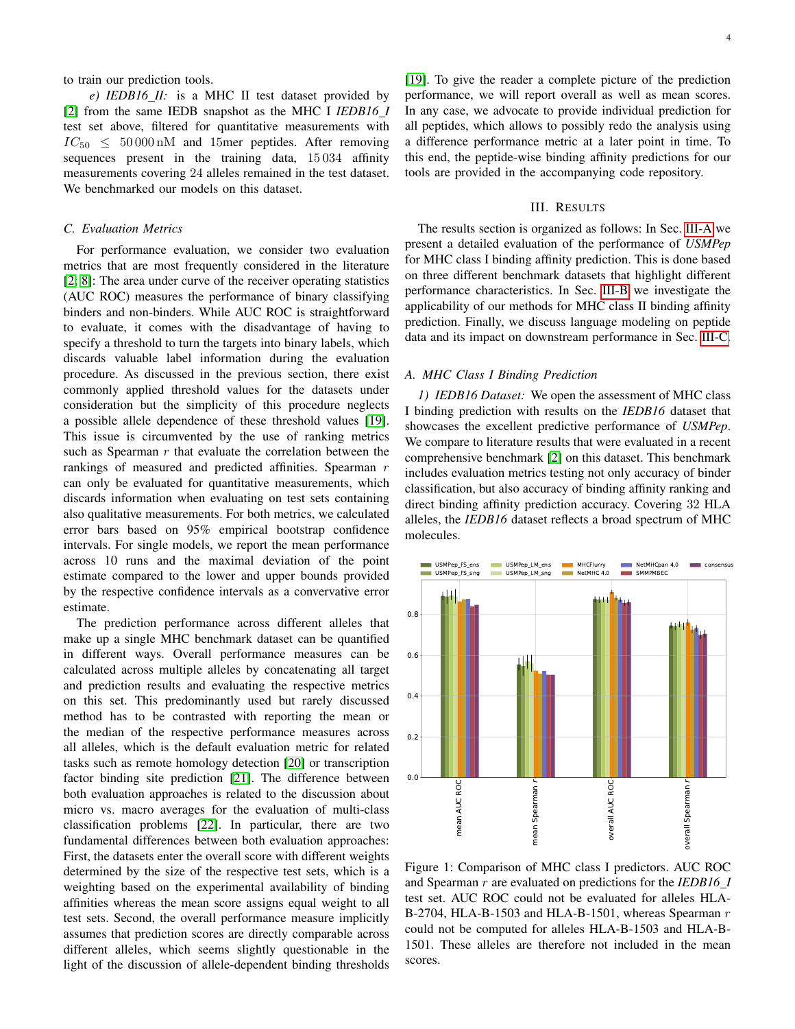to train our prediction tools.

*e) IEDB16 II:* is a MHC II test dataset provided by [\[2\]](#page-7-1) from the same IEDB snapshot as the MHC I *IEDB16 I* test set above, filtered for quantitative measurements with  $IC_{50} \leq 50000 \text{ nM}$  and 15mer peptides. After removing sequences present in the training data, 15 034 affinity measurements covering 24 alleles remained in the test dataset. We benchmarked our models on this dataset.

## <span id="page-3-2"></span>*C. Evaluation Metrics*

For performance evaluation, we consider two evaluation metrics that are most frequently considered in the literature [\[2;](#page-7-1) [8\]](#page-7-8): The area under curve of the receiver operating statistics (AUC ROC) measures the performance of binary classifying binders and non-binders. While AUC ROC is straightforward to evaluate, it comes with the disadvantage of having to specify a threshold to turn the targets into binary labels, which discards valuable label information during the evaluation procedure. As discussed in the previous section, there exist commonly applied threshold values for the datasets under consideration but the simplicity of this procedure neglects a possible allele dependence of these threshold values [\[19\]](#page-7-18). This issue is circumvented by the use of ranking metrics such as Spearman  $r$  that evaluate the correlation between the rankings of measured and predicted affinities. Spearman r can only be evaluated for quantitative measurements, which discards information when evaluating on test sets containing also qualitative measurements. For both metrics, we calculated error bars based on 95% empirical bootstrap confidence intervals. For single models, we report the mean performance across 10 runs and the maximal deviation of the point estimate compared to the lower and upper bounds provided by the respective confidence intervals as a convervative error estimate.

The prediction performance across different alleles that make up a single MHC benchmark dataset can be quantified in different ways. Overall performance measures can be calculated across multiple alleles by concatenating all target and prediction results and evaluating the respective metrics on this set. This predominantly used but rarely discussed method has to be contrasted with reporting the mean or the median of the respective performance measures across all alleles, which is the default evaluation metric for related tasks such as remote homology detection [\[20\]](#page-8-0) or transcription factor binding site prediction [\[21\]](#page-8-1). The difference between both evaluation approaches is related to the discussion about micro vs. macro averages for the evaluation of multi-class classification problems [\[22\]](#page-8-2). In particular, there are two fundamental differences between both evaluation approaches: First, the datasets enter the overall score with different weights determined by the size of the respective test sets, which is a weighting based on the experimental availability of binding affinities whereas the mean score assigns equal weight to all test sets. Second, the overall performance measure implicitly assumes that prediction scores are directly comparable across different alleles, which seems slightly questionable in the light of the discussion of allele-dependent binding thresholds [\[19\]](#page-7-18). To give the reader a complete picture of the prediction performance, we will report overall as well as mean scores. In any case, we advocate to provide individual prediction for all peptides, which allows to possibly redo the analysis using a difference performance metric at a later point in time. To this end, the peptide-wise binding affinity predictions for our tools are provided in the accompanying code repository.

# III. RESULTS

The results section is organized as follows: In Sec. [III-A](#page-3-0) we present a detailed evaluation of the performance of *USMPep* for MHC class I binding affinity prediction. This is done based on three different benchmark datasets that highlight different performance characteristics. In Sec. [III-B](#page-6-0) we investigate the applicability of our methods for MHC class II binding affinity prediction. Finally, we discuss language modeling on peptide data and its impact on downstream performance in Sec. [III-C.](#page-6-1)

## <span id="page-3-0"></span>*A. MHC Class I Binding Prediction*

*1) IEDB16 Dataset:* We open the assessment of MHC class I binding prediction with results on the *IEDB16* dataset that showcases the excellent predictive performance of *USMPep*. We compare to literature results that were evaluated in a recent comprehensive benchmark [\[2\]](#page-7-1) on this dataset. This benchmark includes evaluation metrics testing not only accuracy of binder classification, but also accuracy of binding affinity ranking and direct binding affinity prediction accuracy. Covering 32 HLA alleles, the *IEDB16* dataset reflects a broad spectrum of MHC molecules.

<span id="page-3-1"></span>

Figure 1: Comparison of MHC class I predictors. AUC ROC and Spearman r are evaluated on predictions for the *IEDB16 I* test set. AUC ROC could not be evaluated for alleles HLA-B-2704, HLA-B-1503 and HLA-B-1501, whereas Spearman  $r$ could not be computed for alleles HLA-B-1503 and HLA-B-1501. These alleles are therefore not included in the mean scores.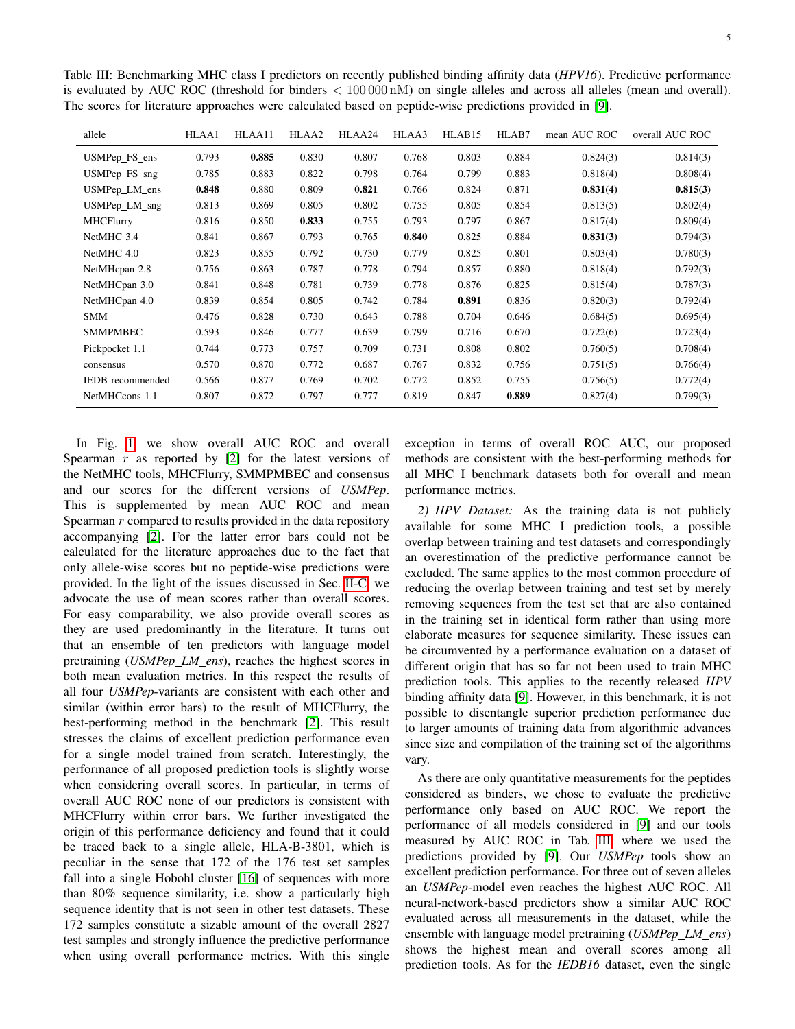<span id="page-4-0"></span>Table III: Benchmarking MHC class I predictors on recently published binding affinity data (*HPV16*). Predictive performance is evaluated by AUC ROC (threshold for binders  $< 100000 \,\mathrm{nM}$ ) on single alleles and across all alleles (mean and overall). The scores for literature approaches were calculated based on peptide-wise predictions provided in [\[9\]](#page-7-3).

| allele                | HLAA1 | HLAA11 | HLAA2 | HLAA24 | HLAA3 | HLAB15 | HLAB7 | mean AUC ROC | overall AUC ROC |
|-----------------------|-------|--------|-------|--------|-------|--------|-------|--------------|-----------------|
| USMPep_FS_ens         | 0.793 | 0.885  | 0.830 | 0.807  | 0.768 | 0.803  | 0.884 | 0.824(3)     | 0.814(3)        |
| USMPep FS sng         | 0.785 | 0.883  | 0.822 | 0.798  | 0.764 | 0.799  | 0.883 | 0.818(4)     | 0.808(4)        |
| USMPep_LM_ens         | 0.848 | 0.880  | 0.809 | 0.821  | 0.766 | 0.824  | 0.871 | 0.831(4)     | 0.815(3)        |
| $USM$ Pep $\_LM$ _sng | 0.813 | 0.869  | 0.805 | 0.802  | 0.755 | 0.805  | 0.854 | 0.813(5)     | 0.802(4)        |
| <b>MHCFlurry</b>      | 0.816 | 0.850  | 0.833 | 0.755  | 0.793 | 0.797  | 0.867 | 0.817(4)     | 0.809(4)        |
| NetMHC 3.4            | 0.841 | 0.867  | 0.793 | 0.765  | 0.840 | 0.825  | 0.884 | 0.831(3)     | 0.794(3)        |
| NetMHC 4.0            | 0.823 | 0.855  | 0.792 | 0.730  | 0.779 | 0.825  | 0.801 | 0.803(4)     | 0.780(3)        |
| NetMHcpan 2.8         | 0.756 | 0.863  | 0.787 | 0.778  | 0.794 | 0.857  | 0.880 | 0.818(4)     | 0.792(3)        |
| NetMHCpan 3.0         | 0.841 | 0.848  | 0.781 | 0.739  | 0.778 | 0.876  | 0.825 | 0.815(4)     | 0.787(3)        |
| NetMHCpan 4.0         | 0.839 | 0.854  | 0.805 | 0.742  | 0.784 | 0.891  | 0.836 | 0.820(3)     | 0.792(4)        |
| <b>SMM</b>            | 0.476 | 0.828  | 0.730 | 0.643  | 0.788 | 0.704  | 0.646 | 0.684(5)     | 0.695(4)        |
| <b>SMMPMBEC</b>       | 0.593 | 0.846  | 0.777 | 0.639  | 0.799 | 0.716  | 0.670 | 0.722(6)     | 0.723(4)        |
| Pickpocket 1.1        | 0.744 | 0.773  | 0.757 | 0.709  | 0.731 | 0.808  | 0.802 | 0.760(5)     | 0.708(4)        |
| consensus             | 0.570 | 0.870  | 0.772 | 0.687  | 0.767 | 0.832  | 0.756 | 0.751(5)     | 0.766(4)        |
| IEDB recommended      | 0.566 | 0.877  | 0.769 | 0.702  | 0.772 | 0.852  | 0.755 | 0.756(5)     | 0.772(4)        |
| NetMHCcons 1.1        | 0.807 | 0.872  | 0.797 | 0.777  | 0.819 | 0.847  | 0.889 | 0.827(4)     | 0.799(3)        |

In Fig. [1,](#page-3-1) we show overall AUC ROC and overall Spearman  $r$  as reported by [\[2\]](#page-7-1) for the latest versions of the NetMHC tools, MHCFlurry, SMMPMBEC and consensus and our scores for the different versions of *USMPep*. This is supplemented by mean AUC ROC and mean Spearman  $r$  compared to results provided in the data repository accompanying [\[2\]](#page-7-1). For the latter error bars could not be calculated for the literature approaches due to the fact that only allele-wise scores but no peptide-wise predictions were provided. In the light of the issues discussed in Sec. [II-C,](#page-3-2) we advocate the use of mean scores rather than overall scores. For easy comparability, we also provide overall scores as they are used predominantly in the literature. It turns out that an ensemble of ten predictors with language model pretraining (*USMPep\_LM\_ens*), reaches the highest scores in both mean evaluation metrics. In this respect the results of all four *USMPep*-variants are consistent with each other and similar (within error bars) to the result of MHCFlurry, the best-performing method in the benchmark [\[2\]](#page-7-1). This result stresses the claims of excellent prediction performance even for a single model trained from scratch. Interestingly, the performance of all proposed prediction tools is slightly worse when considering overall scores. In particular, in terms of overall AUC ROC none of our predictors is consistent with MHCFlurry within error bars. We further investigated the origin of this performance deficiency and found that it could be traced back to a single allele, HLA-B-3801, which is peculiar in the sense that 172 of the 176 test set samples fall into a single Hobohl cluster [\[16\]](#page-7-15) of sequences with more than 80% sequence similarity, i.e. show a particularly high sequence identity that is not seen in other test datasets. These 172 samples constitute a sizable amount of the overall 2827 test samples and strongly influence the predictive performance when using overall performance metrics. With this single

exception in terms of overall ROC AUC, our proposed methods are consistent with the best-performing methods for all MHC I benchmark datasets both for overall and mean performance metrics.

*2) HPV Dataset:* As the training data is not publicly available for some MHC I prediction tools, a possible overlap between training and test datasets and correspondingly an overestimation of the predictive performance cannot be excluded. The same applies to the most common procedure of reducing the overlap between training and test set by merely removing sequences from the test set that are also contained in the training set in identical form rather than using more elaborate measures for sequence similarity. These issues can be circumvented by a performance evaluation on a dataset of different origin that has so far not been used to train MHC prediction tools. This applies to the recently released *HPV* binding affinity data [\[9\]](#page-7-3). However, in this benchmark, it is not possible to disentangle superior prediction performance due to larger amounts of training data from algorithmic advances since size and compilation of the training set of the algorithms vary.

As there are only quantitative measurements for the peptides considered as binders, we chose to evaluate the predictive performance only based on AUC ROC. We report the performance of all models considered in [\[9\]](#page-7-3) and our tools measured by AUC ROC in Tab. [III,](#page-4-0) where we used the predictions provided by [\[9\]](#page-7-3). Our *USMPep* tools show an excellent prediction performance. For three out of seven alleles an *USMPep*-model even reaches the highest AUC ROC. All neural-network-based predictors show a similar AUC ROC evaluated across all measurements in the dataset, while the ensemble with language model pretraining (*USMPep LM ens*) shows the highest mean and overall scores among all prediction tools. As for the *IEDB16* dataset, even the single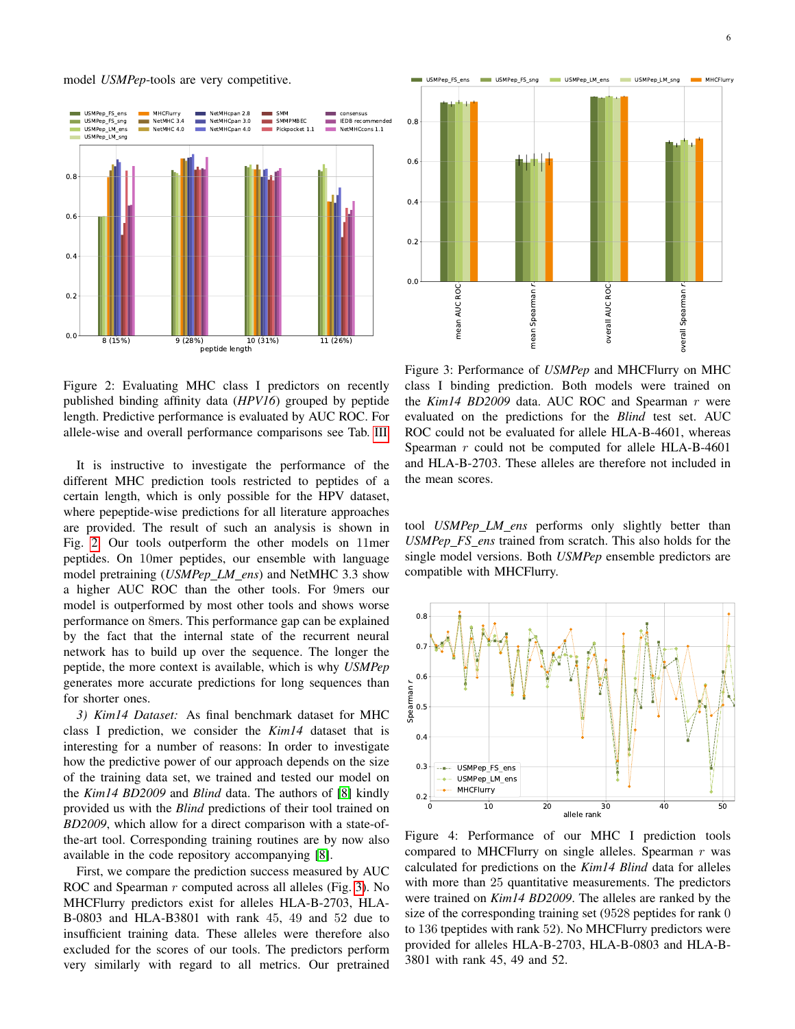### model *USMPep*-tools are very competitive.

<span id="page-5-0"></span>

<span id="page-5-1"></span>mean Spearman r overall AUC ROC overall <sup>S</sup> pearmanr $0.0$ 0.2  $0.4$  $0.6$ 0.8 USMPep\_FS\_ens USMPep\_FS\_sng USMPep\_LM\_ens USMPep\_LM\_sng MHCFlurry

Figure 2: Evaluating MHC class I predictors on recently published binding affinity data (*HPV16*) grouped by peptide length. Predictive performance is evaluated by AUC ROC. For allele-wise and overall performance comparisons see Tab. [III](#page-4-0)

It is instructive to investigate the performance of the different MHC prediction tools restricted to peptides of a certain length, which is only possible for the HPV dataset, where pepeptide-wise predictions for all literature approaches are provided. The result of such an analysis is shown in Fig. [2.](#page-5-0) Our tools outperform the other models on 11mer peptides. On 10mer peptides, our ensemble with language model pretraining (*USMPep LM ens*) and NetMHC 3.3 show a higher AUC ROC than the other tools. For 9mers our model is outperformed by most other tools and shows worse performance on 8mers. This performance gap can be explained by the fact that the internal state of the recurrent neural network has to build up over the sequence. The longer the peptide, the more context is available, which is why *USMPep* generates more accurate predictions for long sequences than for shorter ones. **Example 12**<br>
(a)<br>
(a)<br>
(a)<br>
(a)<br>
(a)<br>
Figure 3: Evaluating MHC class I predictors on recently class 1 binding<br>
integrable binding infinity data (*HPV16)* grouped by populate the *Kimi4 Bill*<br>
It is instructive to investi

*3) Kim14 Dataset:* As final benchmark dataset for MHC class I prediction, we consider the *Kim14* dataset that is interesting for a number of reasons: In order to investigate how the predictive power of our approach depends on the size of the training data set, we trained and tested our model on the *Kim14 BD2009* and *Blind* data. The authors of [\[8\]](#page-7-8) kindly provided us with the *Blind* predictions of their tool trained on *BD2009*, which allow for a direct comparison with a state-ofthe-art tool. Corresponding training routines are by now also available in the code repository accompanying [\[8\]](#page-7-8).

First, we compare the prediction success measured by AUC ROC and Spearman r computed across all alleles (Fig. [3\)](#page-5-1). No MHCFlurry predictors exist for alleles HLA-B-2703, HLA-B-0803 and HLA-B3801 with rank 45, 49 and 52 due to insufficient training data. These alleles were therefore also excluded for the scores of our tools. The predictors perform

Figure 3: Performance of *USMPep* and MHCFlurry on MHC class I binding prediction. Both models were trained on the *Kim14 BD2009* data. AUC ROC and Spearman r were evaluated on the predictions for the *Blind* test set. AUC ROC could not be evaluated for allele HLA-B-4601, whereas Spearman  $r$  could not be computed for allele HLA-B-4601 and HLA-B-2703. These alleles are therefore not included in the mean scores.

tool *USMPep LM ens* performs only slightly better than *USMPep FS ens* trained from scratch. This also holds for the single model versions. Both *USMPep* ensemble predictors are compatible with MHCFlurry.

<span id="page-5-2"></span>

Figure 4: Performance of our MHC I prediction tools compared to MHCFlurry on single alleles. Spearman  $r$  was calculated for predictions on the *Kim14 Blind* data for alleles with more than 25 quantitative measurements. The predictors were trained on *Kim14 BD2009*. The alleles are ranked by the size of the corresponding training set (9528 peptides for rank 0 to 136 tpeptides with rank 52). No MHCFlurry predictors were provided for alleles HLA-B-2703, HLA-B-0803 and HLA-B-3801 with rank 45, 49 and 52.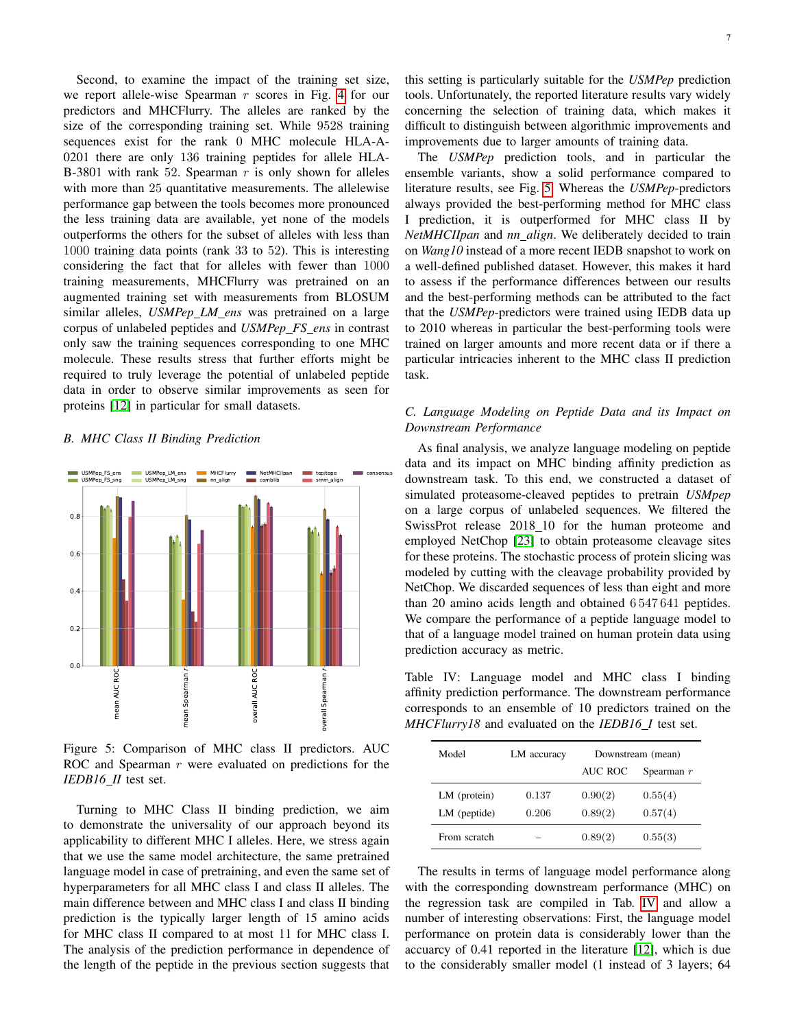Second, to examine the impact of the training set size, we report allele-wise Spearman  $r$  scores in Fig. [4](#page-5-2) for our predictors and MHCFlurry. The alleles are ranked by the size of the corresponding training set. While 9528 training sequences exist for the rank 0 MHC molecule HLA-A-0201 there are only 136 training peptides for allele HLA-B-3801 with rank 52. Spearman  $r$  is only shown for alleles with more than 25 quantitative measurements. The allelewise performance gap between the tools becomes more pronounced the less training data are available, yet none of the models outperforms the others for the subset of alleles with less than 1000 training data points (rank 33 to 52). This is interesting considering the fact that for alleles with fewer than 1000 training measurements, MHCFlurry was pretrained on an augmented training set with measurements from BLOSUM similar alleles, *USMPep\_LM\_ens* was pretrained on a large corpus of unlabeled peptides and *USMPep FS ens* in contrast only saw the training sequences corresponding to one MHC molecule. These results stress that further efforts might be required to truly leverage the potential of unlabeled peptide data in order to observe similar improvements as seen for proteins [\[12\]](#page-7-11) in particular for small datasets.

### <span id="page-6-0"></span>*B. MHC Class II Binding Prediction*

<span id="page-6-2"></span>

Figure 5: Comparison of MHC class II predictors. AUC ROC and Spearman  $r$  were evaluated on predictions for the *IEDB16 II* test set.

Turning to MHC Class II binding prediction, we aim to demonstrate the universality of our approach beyond its applicability to different MHC I alleles. Here, we stress again that we use the same model architecture, the same pretrained language model in case of pretraining, and even the same set of hyperparameters for all MHC class I and class II alleles. The main difference between and MHC class I and class II binding prediction is the typically larger length of 15 amino acids for MHC class II compared to at most 11 for MHC class I. The analysis of the prediction performance in dependence of the length of the peptide in the previous section suggests that

this setting is particularly suitable for the *USMPep* prediction tools. Unfortunately, the reported literature results vary widely concerning the selection of training data, which makes it difficult to distinguish between algorithmic improvements and improvements due to larger amounts of training data.

The *USMPep* prediction tools, and in particular the ensemble variants, show a solid performance compared to literature results, see Fig. [5.](#page-6-2) Whereas the *USMPep*-predictors always provided the best-performing method for MHC class I prediction, it is outperformed for MHC class II by *NetMHCIIpan* and *nn align*. We deliberately decided to train on *Wang10* instead of a more recent IEDB snapshot to work on a well-defined published dataset. However, this makes it hard to assess if the performance differences between our results and the best-performing methods can be attributed to the fact that the *USMPep*-predictors were trained using IEDB data up to 2010 whereas in particular the best-performing tools were trained on larger amounts and more recent data or if there a particular intricacies inherent to the MHC class II prediction task.

# <span id="page-6-1"></span>*C. Language Modeling on Peptide Data and its Impact on Downstream Performance*

As final analysis, we analyze language modeling on peptide data and its impact on MHC binding affinity prediction as downstream task. To this end, we constructed a dataset of simulated proteasome-cleaved peptides to pretrain *USMpep* on a large corpus of unlabeled sequences. We filtered the SwissProt release 2018\_10 for the human proteome and employed NetChop [\[23\]](#page-8-3) to obtain proteasome cleavage sites for these proteins. The stochastic process of protein slicing was modeled by cutting with the cleavage probability provided by NetChop. We discarded sequences of less than eight and more than 20 amino acids length and obtained 6 547 641 peptides. We compare the performance of a peptide language model to that of a language model trained on human protein data using prediction accuracy as metric.

<span id="page-6-3"></span>Table IV: Language model and MHC class I binding affinity prediction performance. The downstream performance corresponds to an ensemble of 10 predictors trained on the *MHCFlurry18* and evaluated on the *IEDB16 I* test set.

| Model          | LM accuracy | Downstream (mean) |              |  |
|----------------|-------------|-------------------|--------------|--|
|                |             | <b>AUC ROC</b>    | Spearman $r$ |  |
| $LM$ (protein) | 0.137       | 0.90(2)           | 0.55(4)      |  |
| $LM$ (peptide) | 0.206       | 0.89(2)           | 0.57(4)      |  |
| From scratch   |             | 0.89(2)           | 0.55(3)      |  |

The results in terms of language model performance along with the corresponding downstream performance (MHC) on the regression task are compiled in Tab. [IV](#page-6-3) and allow a number of interesting observations: First, the language model performance on protein data is considerably lower than the accuarcy of 0.41 reported in the literature [\[12\]](#page-7-11), which is due to the considerably smaller model (1 instead of 3 layers; 64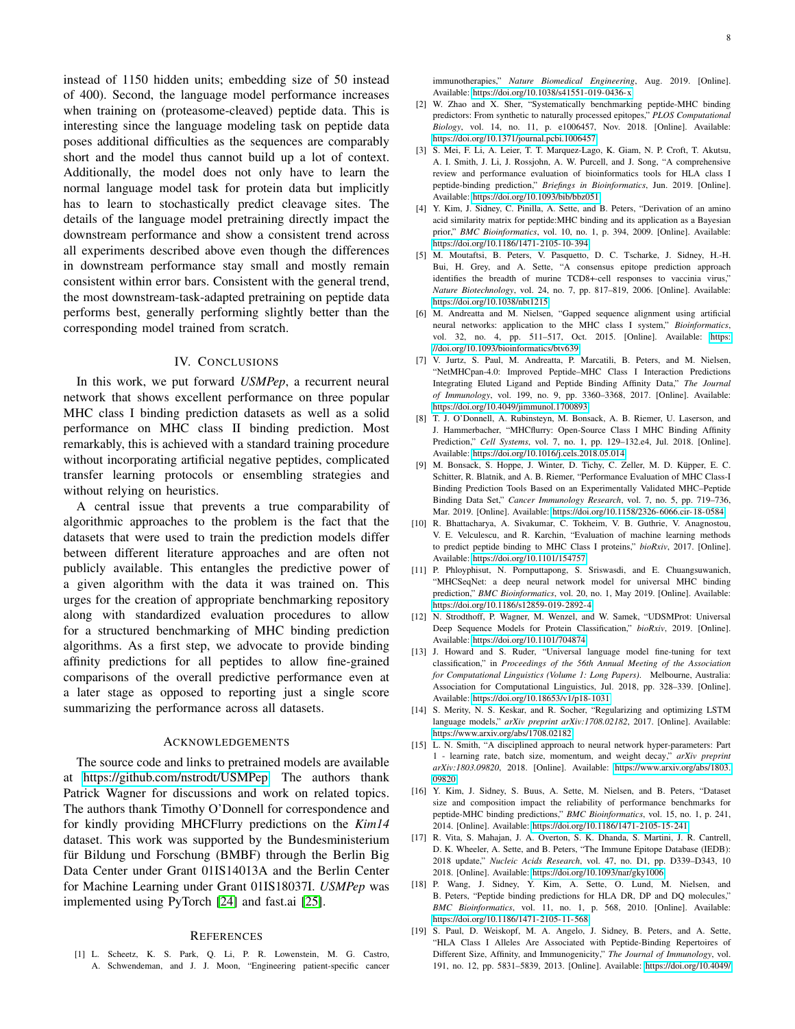instead of 1150 hidden units; embedding size of 50 instead of 400). Second, the language model performance increases when training on (proteasome-cleaved) peptide data. This is interesting since the language modeling task on peptide data poses additional difficulties as the sequences are comparably short and the model thus cannot build up a lot of context. Additionally, the model does not only have to learn the normal language model task for protein data but implicitly has to learn to stochastically predict cleavage sites. The details of the language model pretraining directly impact the downstream performance and show a consistent trend across all experiments described above even though the differences in downstream performance stay small and mostly remain consistent within error bars. Consistent with the general trend, the most downstream-task-adapted pretraining on peptide data performs best, generally performing slightly better than the corresponding model trained from scratch.

## IV. CONCLUSIONS

In this work, we put forward *USMPep*, a recurrent neural network that shows excellent performance on three popular MHC class I binding prediction datasets as well as a solid performance on MHC class II binding prediction. Most remarkably, this is achieved with a standard training procedure without incorporating artificial negative peptides, complicated transfer learning protocols or ensembling strategies and without relying on heuristics.

A central issue that prevents a true comparability of algorithmic approaches to the problem is the fact that the datasets that were used to train the prediction models differ between different literature approaches and are often not publicly available. This entangles the predictive power of a given algorithm with the data it was trained on. This urges for the creation of appropriate benchmarking repository along with standardized evaluation procedures to allow for a structured benchmarking of MHC binding prediction algorithms. As a first step, we advocate to provide binding affinity predictions for all peptides to allow fine-grained comparisons of the overall predictive performance even at a later stage as opposed to reporting just a single score summarizing the performance across all datasets.

#### ACKNOWLEDGEMENTS

The source code and links to pretrained models are available at [https://github.com/nstrodt/USMPep.](https://github.com/nstrodt/USMPep) The authors thank Patrick Wagner for discussions and work on related topics. The authors thank Timothy O'Donnell for correspondence and for kindly providing MHCFlurry predictions on the *Kim14* dataset. This work was supported by the Bundesministerium für Bildung und Forschung (BMBF) through the Berlin Big Data Center under Grant 01IS14013A and the Berlin Center for Machine Learning under Grant 01IS18037I. *USMPep* was implemented using PyTorch [\[24\]](#page-8-4) and fast.ai [\[25\]](#page-8-5).

#### **REFERENCES**

<span id="page-7-0"></span>[1] L. Scheetz, K. S. Park, Q. Li, P. R. Lowenstein, M. G. Castro, A. Schwendeman, and J. J. Moon, "Engineering patient-specific cancer

- <span id="page-7-1"></span>[2] W. Zhao and X. Sher, "Systematically benchmarking peptide-MHC binding predictors: From synthetic to naturally processed epitopes," *PLOS Computational Biology*, vol. 14, no. 11, p. e1006457, Nov. 2018. [Online]. Available: <https://doi.org/10.1371/journal.pcbi.1006457>
- <span id="page-7-2"></span>[3] S. Mei, F. Li, A. Leier, T. T. Marquez-Lago, K. Giam, N. P. Croft, T. Akutsu, A. I. Smith, J. Li, J. Rossjohn, A. W. Purcell, and J. Song, "A comprehensive review and performance evaluation of bioinformatics tools for HLA class I peptide-binding prediction," *Briefings in Bioinformatics*, Jun. 2019. [Online]. Available:<https://doi.org/10.1093/bib/bbz051>
- <span id="page-7-4"></span>[4] Y. Kim, J. Sidney, C. Pinilla, A. Sette, and B. Peters, "Derivation of an amino acid similarity matrix for peptide:MHC binding and its application as a Bayesian prior," *BMC Bioinformatics*, vol. 10, no. 1, p. 394, 2009. [Online]. Available: <https://doi.org/10.1186/1471-2105-10-394>
- <span id="page-7-5"></span>[5] M. Moutaftsi, B. Peters, V. Pasquetto, D. C. Tscharke, J. Sidney, H.-H. Bui, H. Grey, and A. Sette, "A consensus epitope prediction approach identifies the breadth of murine TCD8+-cell responses to vaccinia virus," *Nature Biotechnology*, vol. 24, no. 7, pp. 817–819, 2006. [Online]. Available: <https://doi.org/10.1038/nbt1215>
- <span id="page-7-6"></span>[6] M. Andreatta and M. Nielsen, "Gapped sequence alignment using artificial neural networks: application to the MHC class I system," *Bioinformatics*, vol. 32, no. 4, pp. 511–517, Oct. 2015. [Online]. Available: [https:](https://doi.org/10.1093/bioinformatics/btv639) [//doi.org/10.1093/bioinformatics/btv639](https://doi.org/10.1093/bioinformatics/btv639)
- <span id="page-7-7"></span>[7] V. Jurtz, S. Paul, M. Andreatta, P. Marcatili, B. Peters, and M. Nielsen, "NetMHCpan-4.0: Improved Peptide–MHC Class I Interaction Predictions Integrating Eluted Ligand and Peptide Binding Affinity Data," *The Journal of Immunology*, vol. 199, no. 9, pp. 3360–3368, 2017. [Online]. Available: <https://doi.org/10.4049/jimmunol.1700893>
- <span id="page-7-8"></span>[8] T. J. O'Donnell, A. Rubinsteyn, M. Bonsack, A. B. Riemer, U. Laserson, and J. Hammerbacher, "MHCflurry: Open-Source Class I MHC Binding Affinity Prediction," *Cell Systems*, vol. 7, no. 1, pp. 129–132.e4, Jul. 2018. [Online]. Available:<https://doi.org/10.1016/j.cels.2018.05.014>
- <span id="page-7-3"></span>[9] M. Bonsack, S. Hoppe, J. Winter, D. Tichy, C. Zeller, M. D. Küpper, E. C. Schitter, R. Blatnik, and A. B. Riemer, "Performance Evaluation of MHC Class-I Binding Prediction Tools Based on an Experimentally Validated MHC–Peptide Binding Data Set," *Cancer Immunology Research*, vol. 7, no. 5, pp. 719–736, Mar. 2019. [Online]. Available:<https://doi.org/10.1158/2326-6066.cir-18-0584>
- <span id="page-7-9"></span>[10] R. Bhattacharya, A. Sivakumar, C. Tokheim, V. B. Guthrie, V. Anagnostou, V. E. Velculescu, and R. Karchin, "Evaluation of machine learning methods to predict peptide binding to MHC Class I proteins," *bioRxiv*, 2017. [Online]. Available:<https://doi.org/10.1101/154757>
- <span id="page-7-10"></span>[11] P. Phloyphisut, N. Pornputtapong, S. Sriswasdi, and E. Chuangsuwanich, "MHCSeqNet: a deep neural network model for universal MHC binding prediction," *BMC Bioinformatics*, vol. 20, no. 1, May 2019. [Online]. Available: <https://doi.org/10.1186/s12859-019-2892-4>
- <span id="page-7-11"></span>[12] N. Strodthoff, P. Wagner, M. Wenzel, and W. Samek, "UDSMProt: Universal Deep Sequence Models for Protein Classification," *bioRxiv*, 2019. [Online]. Available:<https://doi.org/10.1101/704874>
- <span id="page-7-12"></span>[13] J. Howard and S. Ruder, "Universal language model fine-tuning for text classification," in *Proceedings of the 56th Annual Meeting of the Association for Computational Linguistics (Volume 1: Long Papers)*. Melbourne, Australia: Association for Computational Linguistics, Jul. 2018, pp. 328–339. [Online]. Available:<https://doi.org/10.18653/v1/p18-1031>
- <span id="page-7-13"></span>[14] S. Merity, N. S. Keskar, and R. Socher, "Regularizing and optimizing LSTM language models," *arXiv preprint arXiv:1708.02182*, 2017. [Online]. Available: <https://www.arxiv.org/abs/1708.02182>
- <span id="page-7-14"></span>[15] L. N. Smith, "A disciplined approach to neural network hyper-parameters: Part 1 - learning rate, batch size, momentum, and weight decay," *arXiv preprint arXiv:1803.09820*, 2018. [Online]. Available: [https://www.arxiv.org/abs/1803.](https://www.arxiv.org/abs/1803.09820) [09820](https://www.arxiv.org/abs/1803.09820)
- <span id="page-7-15"></span>[16] Y. Kim, J. Sidney, S. Buus, A. Sette, M. Nielsen, and B. Peters, "Dataset size and composition impact the reliability of performance benchmarks for peptide-MHC binding predictions," *BMC Bioinformatics*, vol. 15, no. 1, p. 241, 2014. [Online]. Available:<https://doi.org/10.1186/1471-2105-15-241>
- <span id="page-7-16"></span>[17] R. Vita, S. Mahajan, J. A. Overton, S. K. Dhanda, S. Martini, J. R. Cantrell, D. K. Wheeler, A. Sette, and B. Peters, "The Immune Epitope Database (IEDB): 2018 update," *Nucleic Acids Research*, vol. 47, no. D1, pp. D339–D343, 10 2018. [Online]. Available:<https://doi.org/10.1093/nar/gky1006>
- <span id="page-7-17"></span>[18] P. Wang, J. Sidney, Y. Kim, A. Sette, O. Lund, M. Nielsen, and B. Peters, "Peptide binding predictions for HLA DR, DP and DQ molecules," *BMC Bioinformatics*, vol. 11, no. 1, p. 568, 2010. [Online]. Available: <https://doi.org/10.1186/1471-2105-11-568>
- <span id="page-7-18"></span>[19] S. Paul, D. Weiskopf, M. A. Angelo, J. Sidney, B. Peters, and A. Sette, "HLA Class I Alleles Are Associated with Peptide-Binding Repertoires of Different Size, Affinity, and Immunogenicity," *The Journal of Immunology*, vol. 191, no. 12, pp. 5831–5839, 2013. [Online]. Available: [https://doi.org/10.4049/](https://doi.org/10.4049/jimmunol.1302101)